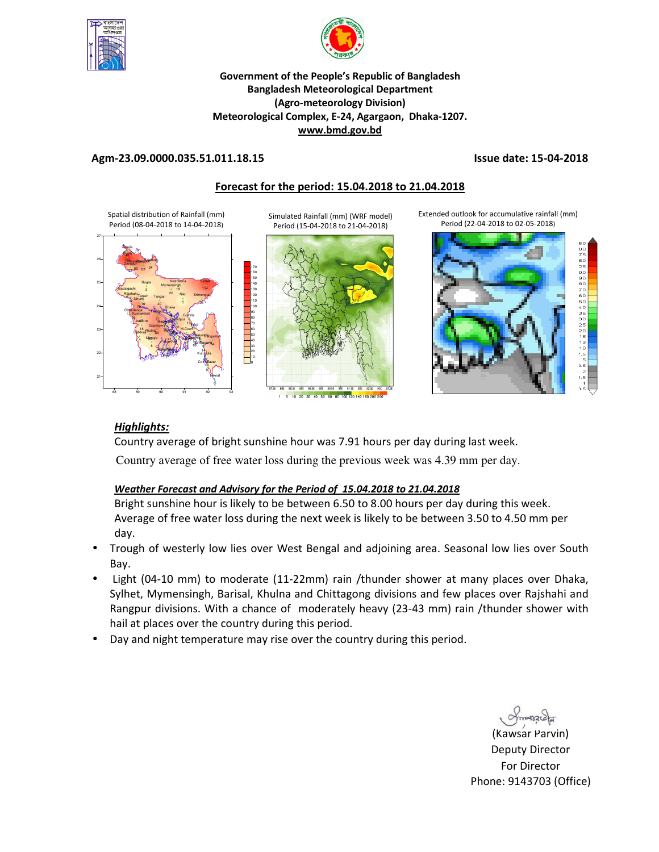



## **Government of the People's Republic of Bangladesh Bangladesh Meteorological Department (Agro-meteorology Division) Meteorological Complex, E-24, Agargaon, Dhaka-1207. www.bmd.gov.bd**

# **Agm-23.09.0000.035.51.011.18.15 Issue date: 15-04-2018**

# **Forecast for the period: 15.04.2018 to 21.04.2018**

Spatial distribution of Rainfall (mm) Period (08-04-2018 to 14-04-2018)



Simulated Rainfall (mm) (WRF model) Period (15-04-2018 to 21-04-2018)



1 5 10 20 30 40 50 60 80 100 120 140 160 200 250

Extended outlook for accumulative rainfall (mm) Period (22-04-2018 to 02-05-2018)



# *Highlights:*

Country average of bright sunshine hour was 7.91 hours per day during last week.

Country average of free water loss during the previous week was 4.39 mm per day.

# *Weather Forecast and Advisory for the Period of 15.04.2018 to 21.04.2018*

Bright sunshine hour is likely to be between 6.50 to 8.00 hours per day during this week. Average of free water loss during the next week is likely to be between 3.50 to 4.50 mm per day.

- Trough of westerly low lies over West Bengal and adjoining area. Seasonal low lies over South Bay.
- Light (04-10 mm) to moderate (11-22mm) rain /thunder shower at many places over Dhaka, Sylhet, Mymensingh, Barisal, Khulna and Chittagong divisions and few places over Rajshahi and Rangpur divisions. With a chance of moderately heavy (23-43 mm) rain /thunder shower with hail at places over the country during this period.
- Day and night temperature may rise over the country during this period.

 $m$ 

(Kawsar Parvin) Deputy Director For Director Phone: 9143703 (Office)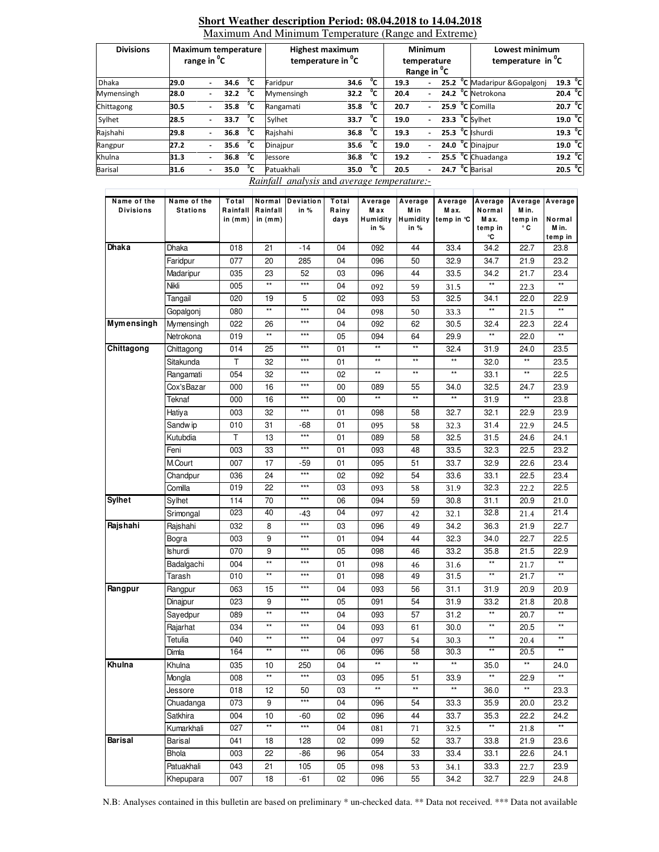| <b>Divisions</b> | Maximum temperature<br>range in <sup>o</sup> C |                          |                   |              | <b>Highest maximum</b><br>temperature in <sup>o</sup> C |      |              | <b>Minimum</b><br>temperature<br>Range in <sup>o</sup> C |  |  | Lowest minimum<br>temperature in <sup>o</sup> C |                     |  |
|------------------|------------------------------------------------|--------------------------|-------------------|--------------|---------------------------------------------------------|------|--------------|----------------------------------------------------------|--|--|-------------------------------------------------|---------------------|--|
| <b>Dhaka</b>     | 29.0                                           |                          | 34.6              | °c           | Faridpur                                                | 34.6 | °c           | 19.3                                                     |  |  | 25.2 °C Madaripur & Gopalgonj                   | 19.3 °C             |  |
| Mymensingh       | 28.0                                           | $\blacksquare$           | 32.2              | °c           | Mymensingh                                              | 32.2 | °c           | 20.4                                                     |  |  | 24.2 °C Netrokona                               | 20.4 °C             |  |
| Chittagong       | 30.5                                           | $\overline{\phantom{0}}$ | 35.8              | °c           | Rangamati                                               | 35.8 | °c           | 20.7                                                     |  |  | 25.9 °C Comilla                                 | 20.7 °C             |  |
| Sylhet           | 28.5                                           | $\overline{\phantom{0}}$ | 33.7 $^{\circ}$ C |              | Sylhet                                                  | 33.7 | $^{\circ}$ c | 19.0                                                     |  |  | $23.3 °C$ Sylhet                                | 19.0 °C             |  |
| Rajshahi         | 29.8                                           | $\overline{\phantom{0}}$ | 36.8              | °⊂           | Rajshahi                                                | 36.8 | °c           | 19.3                                                     |  |  | $25.3$ <sup>°</sup> C Ishurdi                   | 19.3 <sup>o</sup> C |  |
| Rangpur          | 27.2                                           | $\overline{\phantom{0}}$ | 35.6              | °⊂           | Dinajpur                                                | 35.6 | °c           | 19.0                                                     |  |  | 24.0 $^{\circ}$ C Dinajpur                      | 19.0 <sup>o</sup> C |  |
| Khulna           | 31.3                                           |                          | 36.8              | $^{\circ}$ c | Jessore                                                 | 36.8 | $^{\circ}$ c | 19.2                                                     |  |  | $25.5oC$ Chuadanga                              | 19.2 <sup>o</sup> C |  |
| <b>Barisal</b>   | 31.6                                           | $\overline{\phantom{0}}$ | 35.0              | °c           | Patuakhali                                              | 35.0 | °c           | 20.5                                                     |  |  | 24.7 <sup>o</sup> C Barisal                     | 20.5 <sup>o</sup> C |  |

### **Short Weather description Period: 08.04.2018 to 14.04.2018**  Maximum And Minimum Temperature (Range and Extreme)

*Rainfall analysis* and *average temperature:-*

| Name of the<br><b>Divisions</b> | Name of the<br><b>Stations</b> | Total<br>Rainfall | Normal<br>Rainfall | Deviation<br>in % | Total<br>Rainy | Average<br>M a x | Average<br>M in | Average<br>M ax.    | Average<br>Normal | Average Average<br>M in. |                      |
|---------------------------------|--------------------------------|-------------------|--------------------|-------------------|----------------|------------------|-----------------|---------------------|-------------------|--------------------------|----------------------|
|                                 |                                | in $(mm)$         | in $(mm)$          |                   | days           | Humidity         |                 | Humidity temp in °C | M ax.             | temp in                  | Normal               |
|                                 |                                |                   |                    |                   |                | in $%$           | in $%$          |                     | temp in           | ۰c                       | M in.                |
| <b>Dhaka</b>                    | Dhaka                          | 018               | 21                 | -14               | 04             | 092              | 44              | 33.4                | °C<br>34.2        | 22.7                     | temp in<br>23.8      |
|                                 | Faridpur                       | 077               | 20                 | 285               | 04             | 096              | 50              | 32.9                | 34.7              | 21.9                     | 23.2                 |
|                                 | Madaripur                      | 035               | 23                 | 52                | 03             | 096              | 44              | 33.5                | 34.2              | 21.7                     | 23.4                 |
|                                 | Nikli                          | 005               | **                 | $***$             | 04             | 092              | 59              | 31.5                | **                | 22.3                     |                      |
|                                 | Tangail                        | 020               | 19                 | 5                 | 02             | 093              | 53              | 32.5                | 34.1              | 22.0                     | 22.9                 |
|                                 | Gopalgonj                      | 080               | $\star\star$       | $***$             | 04             | 098              | 50              | 33.3                | $\star\star$      | 21.5                     |                      |
| <b>Mymensingh</b>               | Mymensingh                     | 022               | 26                 | ***               | 04             | 092              | 62              | 30.5                | 32.4              | 22.3                     | 22.4                 |
|                                 | Netrokona                      | 019               | $\star\star$       | $***$             | 05             | 094              | 64              | 29.9                | $\star\star$      | 22.0                     | $\star\star$         |
| Chittagong                      | Chittagong                     | 014               | 25                 | $***$             | 01             | $\star\star$     | $\star\star$    | 32.4                | 31.9              | 24.0                     | 23.5                 |
|                                 | Sitakunda                      | т                 | 32                 | $***$             | 01             | $\star\star$     | $\star\star$    | $\star\star$        | 32.0              | $^{\star\star}$          | 23.5                 |
|                                 | Rangamati                      | 054               | 32                 | $\star\star\star$ | 02             | $^{\star\star}$  | $\star\star$    | $^{\star\star}$     | 33.1              | $^{\star\star}$          | 22.5                 |
|                                 | Cox'sBazar                     | 000               | 16                 | $\star\star\star$ | 00             | 089              | 55              | 34.0                | 32.5              | 24.7                     | 23.9                 |
|                                 | Teknaf                         | 000               | 16                 | $***$             | 00             | $\star\star$     | $\star\star$    | $\star\star$        | 31.9              | $\star\star$             | 23.8                 |
|                                 | Hatiya                         | 003               | 32                 | $\star\star\star$ | 01             | 098              | 58              | 32.7                | 32.1              | 22.9                     | 23.9                 |
|                                 | Sandw ip                       | 010               | 31                 | -68               | 01             | 095              | 58              | 32.3                | 31.4              | 22.9                     | 24.5                 |
|                                 | Kutubdia                       | Τ                 | 13                 | $\star\star\star$ | 01             | 089              | 58              | 32.5                | 31.5              | 24.6                     | 24.1                 |
|                                 | Feni                           | 003               | 33                 | $\star\star\star$ | 01             | 093              | 48              | 33.5                | 32.3              | 22.5                     | 23.2                 |
|                                 | M.Court                        | 007               | 17                 | -59               | 01             | 095              | 51              | 33.7                | 32.9              | 22.6                     | 23.4                 |
|                                 | Chandpur                       | 036               | 24                 | $\star\star\star$ | 02             | 092              | 54              | 33.6                | 33.1              | 22.5                     | 23.4                 |
|                                 | Comilla                        | 019               | 22                 | $***$             | 03             | 093              | 58              | 31.9                | 32.3              | 22.2                     | 22.5                 |
| <b>Sylhet</b>                   | Sylhet                         | 114               | 70                 | $\star\star\star$ | 06             | 094              | 59              | 30.8                | 31.1              | 20.9                     | 21.0                 |
|                                 | Srimongal                      | 023               | 40                 | -43               | 04             | 097              | 42              | 32.1                | 32.8              | 21.4                     | 21.4                 |
| Rajshahi                        | Rajshahi                       | 032               | 8                  | $\star\star\star$ | 03             | 096              | 49              | 34.2                | 36.3              | 21.9                     | 22.7                 |
|                                 | Bogra                          | 003               | 9                  | $***$             | 01             | 094              | 44              | 32.3                | 34.0              | 22.7                     | 22.5                 |
|                                 | Ishurdi                        | 070               | 9                  | $***$             | 05             | 098              | 46              | 33.2                | 35.8              | 21.5                     | 22.9                 |
|                                 | Badalgachi                     | 004               | $\star\star$       | $***$             | 01             | 098              | 46              | 31.6                | $\star\star$      | 21.7                     | $\star\star$         |
|                                 | Tarash                         | 010               | $**$               | $***$             | 01             | 098              | 49              | 31.5                | $\star\star$      | 21.7                     |                      |
| Rangpur                         | Rangpur                        | 063               | 15                 | ***               | 04             | 093              | 56              | 31.1                | 31.9              | 20.9                     | 20.9                 |
|                                 | Dinajpur                       | 023               | 9                  | $***$             | 05             | 091              | 54              | 31.9                | 33.2              | 21.8                     | 20.8                 |
|                                 | Sayedpur                       | 089               | $^{\star\star}$    | $***$             | 04             | 093              | 57              | 31.2                | $\star\star$      | 20.7                     | $\star\star$         |
|                                 | Rajarhat                       | 034               | $\star\star$       | $***$             | 04             | 093              | 61              | 30.0                | $\star\star$      | 20.5                     | $\star\star$         |
|                                 | Tetulia                        | 040               | $^{\star\star}$    | $***$             | 04             | 097              | 54              | 30.3                | $\star\star$      | 20.4                     | $\star\star$         |
|                                 | Dimla                          | 164               | $**$               | $***$             | 06             | 096              | 58              | 30.3                | $**$              | 20.5                     | $\star\star$         |
| Khulna                          | Khulna                         | 035               | 10                 | 250               | 04             | $^{\star\star}$  | $\star\star$    | $\star\star$        | 35.0              | $^{\star\star}$          | 24.0                 |
|                                 | Mongla                         | $\overline{008}$  | $**$               | $***$             | 03             | 095              | 51              | 33.9                |                   | 22.9                     |                      |
|                                 | Jessore                        | 018               | 12                 | 50                | 03             | $\star\star$     | $^{\star\star}$ | $^{\star\star}$     | 36.0              | $^{\star\star}$          | 23.3                 |
|                                 | Chuadanga                      | 073               | 9                  | $***$             | 04             | 096              | 54              | 33.3                | 35.9              | 20.0                     | 23.2                 |
|                                 | Satkhira                       | 004               | 10<br>$\star\star$ | -60<br>$***$      | 02             | 096              | 44              | 33.7                | 35.3<br>$**$      | 22.2                     | 24.2<br>$\star\star$ |
|                                 | Kumarkhali                     | 027               |                    |                   | 04             | 081              | 71              | 32.5                |                   | 21.8                     |                      |
| <b>Barisal</b>                  | Barisal                        | 041               | 18                 | 128               | 02             | 099              | 52              | 33.7                | 33.8              | 21.9                     | 23.6                 |
|                                 | Bhola                          | 003               | 22                 | -86               | 96             | 054              | 33              | 33.4                | 33.1              | 22.6                     | 24.1                 |
|                                 | Patuakhali                     | 043               | 21                 | 105               | 05             | 098              | 53              | 34.1                | 33.3              | 22.7                     | 23.9                 |
|                                 | Khepupara                      | 007               | 18                 | -61               | 02             | 096              | 55              | 34.2                | 32.7              | 22.9                     | 24.8                 |

N.B: Analyses contained in this bulletin are based on preliminary \* un-checked data. \*\* Data not received. \*\*\* Data not available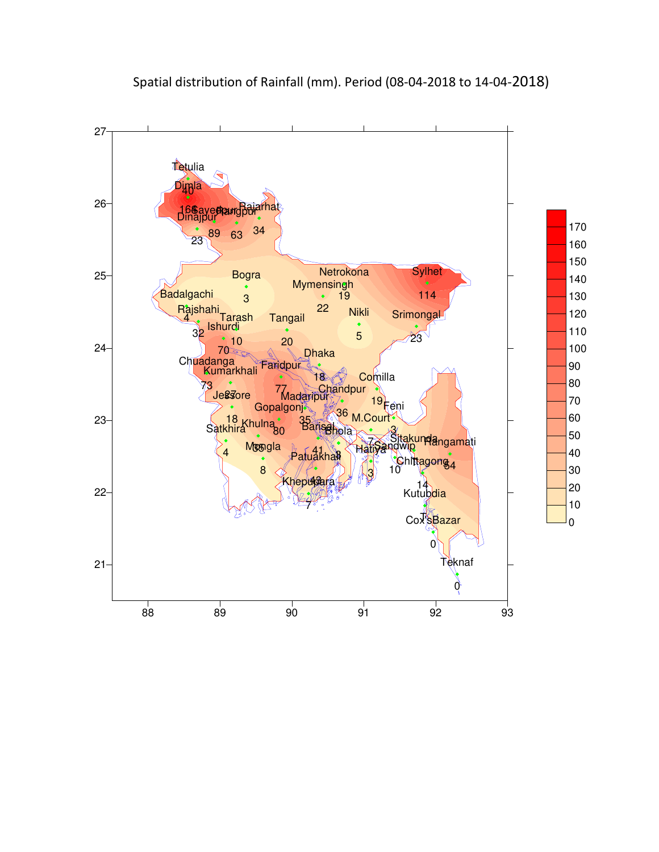

# Spatial distribution of Rainfall (mm). Period (08-04-2018 to 14-04-2018)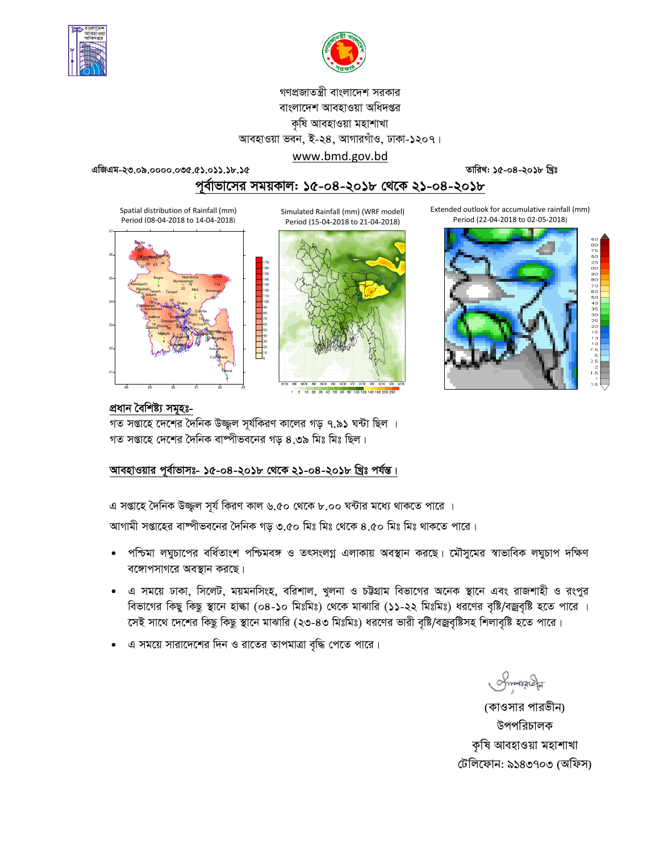



# গণপ্রজাতন্ত্রী বাংলাদেশ সরকার বাংলাদেশ আবহাওয়া অধিদপ্তর কৃষি আবহাওয়া মহাশাখা আবহাওয়া ভবন, ই-২৪, আগারগাঁও, ঢাকা-১২০৭।

www.bmd.gov.bd

**GwRGg-23.09.0000.035.51.011.18.15 ZvwiL: 15-04-2018 wLªt**

পূর্বাভাসের সময়কাল: ১৫-০৪-২০১৮ থেকে ২১-০৪-২০১৮

Spatial distribution of Rainfall (mm) Period (08-04-2018 to 14-04-2018)



Simulated Rainfall (mm) (WRF model) Period (15-04-2018 to 21-04-2018)



Extended outlook for accumulative rainfall (mm) Period (22-04-2018 to 02-05-2018)



# প্ৰধান বৈশিষ্ট্য সমূহঃ-

গত সপ্তাহে দেশের দৈনিক উজ্জ্বল সূর্যকিরণ কালের গড় ৭.৯১ ঘন্টা ছিল । গত সপ্তাহে দেশের দৈনিক বাষ্পীভবনের গড় ৪.৩৯ মিঃ মিঃ ছিল।

70<br>60<br>50<br>40<br>30<br>20<br>10<br>0

# আবহাওয়ার পূর্বাভাসঃ- ১৫-০৪-২০১৮ থেকে ২১-০৪-২০১৮ খ্রিঃ পর্যন্ত।

এ সপ্তাহে দৈনিক উজ্জ্বল সূর্য কিরণ কাল ৬.৫০ থেকে ৮.০০ ঘন্টার মধ্যে থাকতে পারে ।

আগামী সপ্তাহের বাষ্পীভবনের দৈনিক গড় ৩.৫০ মিঃ মিঃ থেকে ৪.৫০ মিঃ মিঃ থাকতে পারে।

- পশ্চিমা লঘুচাপের বর্ধিতাংশ পশ্চিমবঙ্গ ও তৎসংলগ্ন এলাকায় অবস্থান করছে। মৌসুমের স্বাভাবিক লঘুচাপ দক্ষিণ বঙ্গোপসাগরে অবস্থান করছে।
- এ সময়ে ঢাকা, সিলেট, ময়মনসিংহ, বরিশাল, খুলনা ও চট্টগ্রাম বিভাগের অনেক স্থানে এবং রাজশাহী ও রংপুর বিভাগের কিছু কিছু স্থানে হাল্কা (০৪-১০ মিঃমিঃ) থেকে মাঝারি (১১-২২ মিঃমিঃ) ধরণের বৃষ্টি/বজ্রবৃষ্টি হতে পারে । সেই সাথে দেশের কিছু কিছু স্থানে মাঝারি (২৩-৪৩ মিঃমিঃ) ধরণের ভারী বৃষ্টি/বজ্রবৃষ্টিসহ শিলাবৃষ্টি হতে পারে।
- এ সময়ে সারাদেশের দিন ও রাতের তাপমাত্রা বৃদ্ধি পেতে পারে।

Smanacha

(কাওসার পারভীন) উপপরিচালক কৃষি আবহাওয়া মহাশাখা টেলিফোন: ৯১৪৩৭০৩ (অফিস)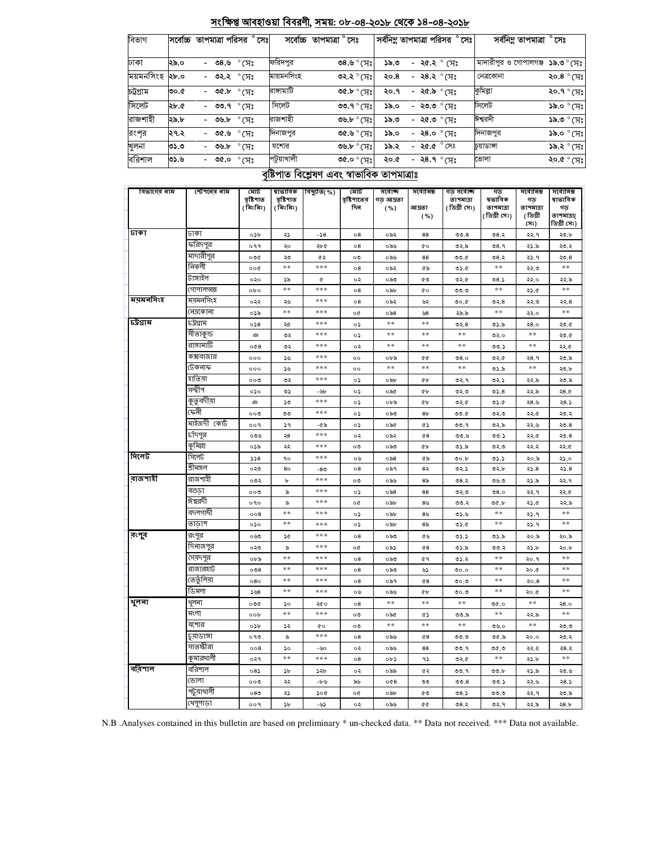| রাজশাহী     | ২৯.৮                 | ৩৬.৮             | $^\circ$ সেঃ                 | রাজশাহী                          |                                             | ৩৬.৮ ° সেঃ                | ৩,৯১                          | - ২৫.৩ ° সেঃ                    |                                          | ঈশ্বরদী                                    |                                                    | ১৯.৩ ° সেঃ                                                |  |  |
|-------------|----------------------|------------------|------------------------------|----------------------------------|---------------------------------------------|---------------------------|-------------------------------|---------------------------------|------------------------------------------|--------------------------------------------|----------------------------------------------------|-----------------------------------------------------------|--|--|
| রংপর        | ২৭.২<br>৩৫.৬<br>°সেঃ |                  | দিনাজপুর                     |                                  | ৩৫.৬° (সঃ                                   | ১৯.০                      | - ২৪.০ ° সেঃ                  |                                 |                                          | দিনাজপুর<br>$\mathcal{S}$ ৯.০ $\circ$ (সেঃ |                                                    |                                                           |  |  |
| খুলনা       | ৩১.৩                 | ৩৬.৮             | $^\circ$ সেঃ                 |                                  | ৩৬.৮ ° (সঃ<br>যশোর                          |                           |                               | - ২৫.৫ <sup>°</sup> সেঃ<br>১৯.২ |                                          |                                            | <b>১৯.২</b> ° সেঃ<br>চয়াডাঙ্গা                    |                                                           |  |  |
| বরিশাল      | ৩১.৬                 | $P^{\circ}$ o.do |                              | পটুয়াখালী                       |                                             | ৩৫.০ $^{\circ}$ (সঃ       | ২০.৫                          | - ২৪.৭ $^{\circ}$ সেঃ           |                                          | ভোলা                                       |                                                    | $\,$ ° $\rm K)$ $^{\circ}$ $\rm 9.0$ ۶                    |  |  |
|             |                      |                  |                              |                                  | বৃষ্টিপাত বিশ্লেষণ এবং স্বাভাবিক তাপমাত্ৰাঃ |                           |                               |                                 |                                          |                                            |                                                    |                                                           |  |  |
| বিভাগের নাম |                      | স্টেশনের নাম     | মোট<br>বৃষ্টিপাত<br>(মিঃমিঃ) | ষাভাবিক<br>বৃষ্টিশাত<br>(মিঃমিঃ) | বিছ্যুতি( %)                                | মোট<br>বৃষ্টিশাতের<br>দিন | সৰ্বোচ্ছ<br>গড আদ্রতা<br>( %) | সৰ্বোনিম্ন<br>আদ্ৰতা<br>( %)    | গড সৰ্বোচ্ছ<br>তাপমাত্রা<br>(ডিগ্ৰী সেঃ) | গড<br>ষভাবিক<br>তাপমাত্রা<br>(ডিগ্ৰী সেঃ)  | সৰ্বোনিম্ন<br>গড়<br>তাপমাত্রা<br>( ডিগ্ৰী<br>(সঃ) | সৰ্বোনিম্ন<br>ষাভাবিক<br>গড়<br>তাপমাত্রা(<br>ডিগ্ৰী সেঃ) |  |  |
| ঢাকা        |                      | ঢাকা             | ০১৮                          | ২১                               | $-58$                                       | $^{\circ8}$               | ০৯২                           | 88                              | 00.8                                     | ৩৪.২                                       | ২২.৭                                               | ২৩.৮                                                      |  |  |
|             |                      | ফরিদপুর          | ०११                          | ২০                               | ২৮৫                                         | $\circ$ 8                 | ০৯৬                           | 6o                              | ৩২.৯                                     | 08.9                                       | ২১.৯                                               | ২৩.২                                                      |  |  |
|             |                      | মাদারীপুর        | 000                          | ২৩                               | ৫২                                          | ০৩                        | ০৯৬                           | 88                              | ৩৩.৫                                     | ৩৪.২                                       | ২১.৭                                               | ২৩.৪                                                      |  |  |
|             |                      | নিকলী            | 000                          | $**$                             | ***                                         | $\circ$ 8                 | ০৯২                           | ৫৯                              | ৩১.৫                                     | **                                         | ২২.৩                                               | **                                                        |  |  |
|             |                      | টাঙ্গাইল         | ०२०                          | ১৯                               | ¢                                           | ০২                        | ০৯৩                           | ৫৩                              | ৩২.৫                                     | 08.5                                       | ২২.০                                               | ২২.৯                                                      |  |  |
|             |                      | গোপালগজ্ঞ        | 0 <sub>b</sub>               | $**$                             | ***                                         | $^{\circ8}$               | ০৯৮                           | <b>CO</b>                       | ৩৩.৩                                     | $**$                                       | 25.6                                               | **                                                        |  |  |
| ময়মনসিংহ   |                      | ময়মনসিংহ        | ০২২                          | ২৬                               | ***                                         | $\circ$ 8                 | ০৯২                           | ৬২                              | ৩০.৫                                     | 02.8                                       | ২২.৩                                               | ২২.৪                                                      |  |  |
|             |                      | নেত্ৰকোনা        | ০১৯                          | $**$                             | ***                                         | o¢                        | ০৯৪                           | ৬৪                              | ২৯.৯                                     | $* *$                                      | ২২.০                                               | **                                                        |  |  |
| চট্টগ্রাম   |                      | ঢট্টগ্ৰাম        | 0.58                         | ২৫                               | ***                                         | ०১                        | **                            | **                              | ৩২.৪                                     | ৩১.৯                                       | २8.०                                               | ২৩.৫                                                      |  |  |
|             |                      | সীতাকুন্ড        | ഛ                            | ৩২                               | ***                                         | ०১                        | **                            | **                              | $**$                                     | ৩২.০                                       | $* *$                                              | ২৩.৫                                                      |  |  |
|             |                      | রাঙ্গামাটি       | 008                          | ৩২                               | ***                                         | ০২                        | $**$                          | $**$                            | $**$                                     | ৩৩.১                                       | $* *$                                              | ২২.৫                                                      |  |  |
|             |                      | কক্সবাজার        | 000                          | ১৬                               | ***                                         | $\circ$                   | ০৮৯                           | Q                               | 08.0                                     | ৩২.৫                                       | २8.१                                               | ২৩.৯                                                      |  |  |
|             |                      | টেকনাফ           | 000                          | ১৬                               | ***                                         | $\circ$                   | $**$                          | $**$                            | **                                       | ৩১.৯                                       | $**$                                               | ২৩.৮                                                      |  |  |
|             |                      | হাতিয়া          | 000                          | ৩২                               | ***                                         | ০১                        | ০৯৮                           | ¢Ъ                              | ৩২.৭                                     | ৩২.১                                       | ২২.৯                                               | ২৩.৯                                                      |  |  |
|             |                      | সন্দ্বীপ         | ०১०                          | ৩১                               | -৬৮                                         | ০১                        | ০৯৫                           | ¢Ъ                              | ৩২.৩                                     | 05.8                                       | ২২.৯                                               | 28.0                                                      |  |  |
|             |                      | কুতুবদীয়া       | ঞ                            | ১৩                               | ***                                         | ০১                        | ০৮৯                           | Qb                              | ৩২.৫                                     | 05.6                                       | ২৪.৬                                               | 28.5                                                      |  |  |
|             |                      | ফেনী             | 000                          | ৩৩                               | ***                                         | ০১                        | ০৯৩                           | 8 <sub>b</sub>                  | ৩৩.৫                                     | ৩২.৩                                       | ২২.৫                                               | ২৩.২                                                      |  |  |
|             |                      | মাইজদী কোর্ট     | ००१                          | 59                               | -৫৯                                         | ০১                        | ০৯৫                           | œ۵                              | ৩৩.৭                                     | ৩২.৯                                       | ২২.৬                                               | 20.8                                                      |  |  |
|             |                      | চাঁদপুর          | ০৩৬                          | ২৪                               | ***                                         | ০২                        | ০৯২                           | 68                              | ৩৩.৬                                     | ৩৩.১                                       | ২২.৫                                               | ২৩.৪                                                      |  |  |
|             |                      | কুমিল্লা         | ০১৯                          | ২২                               | ***                                         | ০৩                        | ০৯৩                           | ¢Ъ                              | ৩১.৯                                     | ৩২.৩                                       | ২২.২                                               | ২২.৫                                                      |  |  |
| সিলেট       |                      | সিলেট            | 558                          | ٩o                               | ***                                         | ০৬                        | ০৯৪                           | ৫৯                              | ৩০.৮                                     | 05.5                                       | ২০.৯                                               | ২১.০                                                      |  |  |
|             |                      | শ্ৰীমঙ্গল        | ০২৩                          | 80                               | -8৩                                         | 08                        | ০৯৭                           | 82                              | ৩২.১                                     | ৩২.৮                                       | ২১.৪                                               | 25.8                                                      |  |  |
| ৰাজশাহী     |                      | রাজশাইী          | ০৩২                          | b                                | ***                                         | ০৩                        | ০৯৬                           | 8৯                              | ৩৪.২                                     | ৩৬.৩                                       | ২১.৯                                               | ২২.৭                                                      |  |  |
|             |                      | বগুডা            | ००७                          | ৯                                | ***                                         | ০১                        | $\circ$ ৯8                    | 88                              | ৩২.৩                                     | 08.0                                       | ২২.৭                                               | ২২.৫                                                      |  |  |
|             |                      | ঈশ্বরদী          | ०१०                          | ৯                                | ***                                         | o¢                        | ০৯৮                           | ৪৬                              | ৩৩.২                                     | ৩৫.৮                                       | ২১.৫                                               | ২২.৯                                                      |  |  |
|             |                      | বদলগাৰ্ঘী        | 008                          | $**$                             | ***                                         | ০১                        | ০৯৮                           | $8\%$                           | 0.6                                      | **                                         | ২১.৭                                               | **                                                        |  |  |
|             |                      | তাডাশ            | ०১०                          | $**$                             | ***                                         | ०১                        | ০৯৮                           | 8৯                              | ৩১.৫                                     | **                                         | ২১.৭                                               | **                                                        |  |  |
| বংগ্ব       |                      | রংপুর            | ০৬৩                          | 5¢                               | ***                                         | $\circ$ 8                 | ০৯৩                           | ৫৬                              | 03.5                                     | ৩১.৯                                       | ২০.৯                                               | ২০.৯                                                      |  |  |
|             |                      | দিনাজপুর         | ০২৩                          | ৯                                | ***                                         | o¢                        | ০৯১                           | 68                              | ৩১.৯                                     | ৩৩.২                                       | ২১.৮                                               | ২০.৮                                                      |  |  |
|             |                      | সৈয়দপুর         | ০৮৯                          | **                               | ***                                         | $\circ$ 8                 | ಂನಿಲ                          | ¢٩                              | ৩১.২                                     | **                                         | २०.१                                               | **                                                        |  |  |
|             |                      | রাজারহাট         | 008                          | $**$                             | ***                                         | $\circ$ 8                 | ০৯৩                           | دی                              | 0.00                                     | **                                         | ২০.৫                                               | **                                                        |  |  |

সংক্ষিপ্ত আবহাওয়া বিবরণী, সময়: ০৮-০৪-২০১৮ থেকে ১৪-০৪-২০১৮

 $\sqrt[3]{8.8}$ ৬.8৩

**ত২.২**° সেঃ

৩৫.৮° (সঃ

৩৩.৭° সেঃ

সর্বনিম্ন তাপমাত্রা পরিসর ° সেঃ

১৯.৩

 $8.05$ 

২০.৭

 $55.0$ 

- २८.२  $^{\circ}$  (সः

- ২৪.২ $^{\circ}$  (সেঃ

- ২৫.৯ ° সেঃ

- ২৩.৩  $^{\circ}$  (সঃ

সর্বনিম্ন তাপমাত্রা ° সেঃ

মাদারীপুর ও গোপালগঞ্জ**১৯.৩** ° সেঃ

२०.8 $^{\circ}$  (प्रः

২০.৭ ° সেঃ

 $38.0 °(T)$ ঃ

নেত্ৰকোনা

কুমিল্লা

সিলেট

 $**$ 

 $\ast\ast$ 

 $0.90$ 

 $**$ 

৩৬.০

 $00.5$ 

 $0.90$ 

 $\ast\ast$ 

 $00.b$ 

 $00.5$ 

ಲಿ.ಲ

৩২.৭

 $\ast\ast$ 

 $\ast\ast$ 

 $28.0$ 

 $\ast\ast$ 

২৩.৩

২৩.২

 $28.2$ 

 $**$ 

২৩.৬

 $58.5$ 

২৩.৯

 $28.b$ 

২০.৪

২০.৫

 $\ast\ast$ 

২২.৯

 $\ast$ 

২০.০

২২.২

২১.৮

২১.৯

২২.৬

২২.৭

২২.৯

সৰ্বেচ্চ তাপমাত্ৰা ° সেঃ

ফরিদপুর

রাসামাটি

সিলেট

মায়মনসিংহ

বিভাগ

ঢাকা

চট্টগ্ৰাম

সিলেট

ময়মনসিংহ

২৯.০

২৮.০

৩০.৫

২৮.৫

সর্বোচ্চ তাপমাত্রা পরিসর ° সেঃ

 $-$  02.2

 $-$  00.b

ভেতুঁলিয়া

ডিমলা

থুলনা

মংলা

যশোর

চুয়াডাঙ্গা

সাতক্ষীরা

কুমারথালী

পটুয়াথালী

থেপুণাড়া

বরিশাল

ভোলা

शूनना

বরিশাল

 $\cdot$  ৩8.৬  $\circ$  সেঃ

- ৩৩.৭  $^{\circ}$  সেঃ

 $^{\circ}$ (সঃ

 $\degree$ সেঃ

|  |  |  |  |  | N.B. Analyses contained in this bulletin are based on preliminary * un-checked data, ** Data not received, *** Data not available. |
|--|--|--|--|--|------------------------------------------------------------------------------------------------------------------------------------|
|--|--|--|--|--|------------------------------------------------------------------------------------------------------------------------------------|

 $\ast\ast$ 

 $\ast\ast$ 

 $\mathcal{S}^{\circ}$ 

 $**$ 

 $\overline{\mathcal{L}}$ 

 $\frac{1}{2}$ 

 $\infty$ 

 $**$ 

 $\mathcal{D}^{\mathcal{D}}$ 

২২

১১

 $\mathcal{D}^{\mathcal{D}}$ 

 $^{\circ8}$ 

 $568$ 

 $000$ 

 $\circ \circ \flat$ 

 $\circ$   $\circ$ 

 $\circ \circ$ 

 $008$ 

०२१

 $085$ 

००७

 $080$ 

००१

\*\*\*

\*\*\*

২৫০

\*\*\*

 $\mathfrak{g}_0$ 

\*\*\*

 $-c$ 

 $***$ 

 $52b$ 

-৮৬

১০৫

 $\omega$ -

 $^{\rm o}8$ 

 $\mathcal{O} \mathfrak{S}$ 

 $^{\circ8}$ 

 $\circ$ 

 $\circ$ 

 $^{\circ8}$ 

০২

 $^{\circ8}$ 

 $\circ \check{z}$ 

৯৬

o¢

 $\circ \check{z}$ 

০৯৭

০৯৬

 $**$ 

০৯৫

 $**$ 

 $\circ\circ\circ$ 

০৯৬

০৮১

০৯৯

 $0@8$ 

০৯৮

০৯৬

 $\mathop{\mathsf{e}}\nolimits$  8

 $\mathfrak{C}^{\mathfrak{b}}$ 

 $**$ 

 $\hat{\alpha}$ 

 $**$ 

 $\mathbf{\hat{c}}$ 8

88

۹১

৫২

 $\circ$ 

 $\mathfrak{C}$ 

 $Q$ 

ಲಿ.

ಳಿಂ.

 $\ast\ast$ 

 $00.5$ 

 $\ast$ 

ಲಿ.ಲ

 $00.9$ 

৩২.৫

৩৩.৭

ಲಿಲಿ. $8$ 

 $08.5$ 

৩৪.২